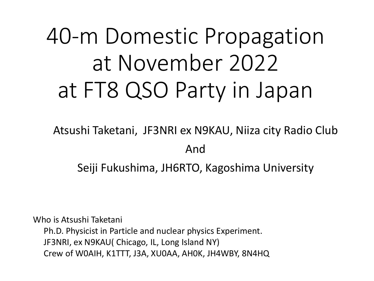# 40-m Domestic Propagation at November 2022 at FT8 QSO Party in Japan

Atsushi Taketani, JF3NRI ex N9KAU, Niiza city Radio Club And Seiji Fukushima, JH6RTO, Kagoshima University

Who is Atsushi Taketani Ph.D. Physicist in Particle and nuclear physics Experiment. JF3NRI, ex N9KAU( Chicago, IL, Long Island NY) Crew of W0AIH, K1TTT, J3A, XU0AA, AH0K, JH4WBY, 8N4HQ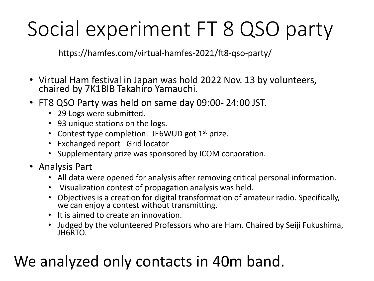# Social experiment FT 8 QSO party

https://hamfes.com/virtual-hamfes-2021/ft8-qso-party/

- Virtual Ham festival in Japan was hold 2022 Nov. 13 by volunteers, chaired by 7K1BIB Takahiro Yamauchi.
- FT8 QSO Party was held on same day 09:00- 24:00 JST.
	- 29 Logs were submitted.
	- 93 unique stations on the logs.
	- Contest type completion. JE6WUD got  $1<sup>st</sup>$  prize.
	- Exchanged report Grid locator
	- Supplementary prize was sponsored by ICOM corporation.
- Analysis Part
	- All data were opened for analysis after removing critical personal information.
	- Visualization contest of propagation analysis was held.
	- Objectives is a creation for digital transformation of amateur radio. Specifically, we can enjoy a contest without transmitting.
	- It is aimed to create an innovation.
	- Judged by the volunteered Professors who are Ham. Chaired by Seiji Fukushima, JH6RTO.

### We analyzed only contacts in 40m band.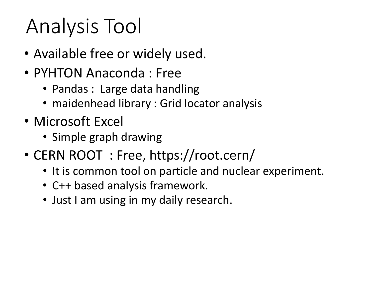# Analysis Tool

- Available free or widely used.
- PYHTON Anaconda : Free
	- Pandas : Large data handling
	- maidenhead library : Grid locator analysis
- Microsoft Excel
	- Simple graph drawing
- CERN ROOT : Free, https://root.cern/
	- It is common tool on particle and nuclear experiment.
	- C++ based analysis framework.
	- Just I am using in my daily research.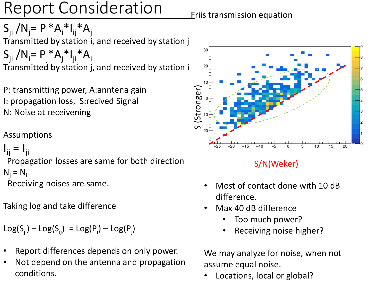### Report Consideration

 $S_{ji} / N_j = P_i * A_i * I_{ij} * A_j$ Transmitted by station i, and received by station j  $S_{ji} / N_i = P_j^* A_j^* I_{ji}^* A_i$ Transmitted by station j, and received by station i

P: transmitting power, A:anntena gain I: propagation loss, S:recived Signal N: Noise at receivening

#### **Assumptions**

```
I_{ij} = I_{ji}
```
Propagation losses are same for both direction  $N_i = N_i$ Receiving noises are same.

Taking log and take difference

 $Log(S_{ji}) - Log(S_{ij}) = Log(P_i) - Log(P_j)$ 

- Report differences depends on only power.
- Not depend on the antenna and propagation conditions.

**Eriis transmission equation** 



#### S/N(Weker)

- Most of contact done with 10 dB difference.
- Max 40 dB difference
	- Too much power?
	- Receiving noise higher?

We may analyze for noise, when not assume equal noise.

• Locations, local or global?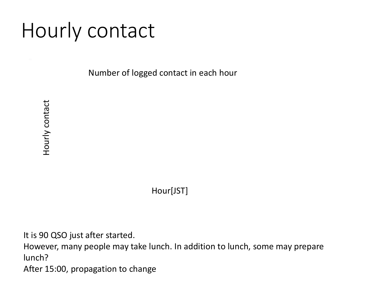## Hourly contact

Number of logged contact in each hour

Hour[JST]

It is 90 QSO just after started.

However, many people may take lunch. In addition to lunch, some may prepare lunch?

After 15:00, propagation to change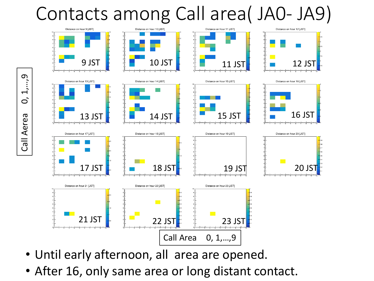### Contacts among Call area( JA0- JA9)











Distance on hour 19 [JST]







Distance on hour 9 [JST]





Distance on hour 18 [JST]

- Until early afternoon, all area are opened.
- After 16, only same area or long distant contact.

 $\sigma$ Call Aerea 0, 1,…,9  $\blacktriangleright$  $\overline{O}$ Call Aerea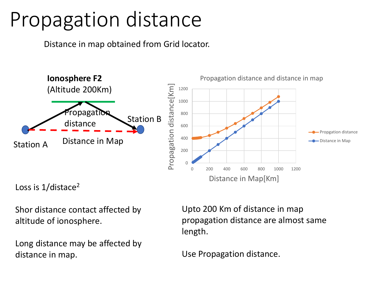## Propagation distance

Distance in map obtained from Grid locator.



Loss is 1/distace<sup>2</sup>

Shor distance contact affected by altitude of ionosphere.

Long distance may be affected by distance in map.

Upto 200 Km of distance in map propagation distance are almost same length.

Use Propagation distance.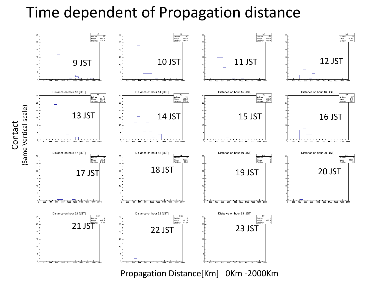### Time dependent of Propagation distance



Propagation Distance[Km] 0Km -2000Km